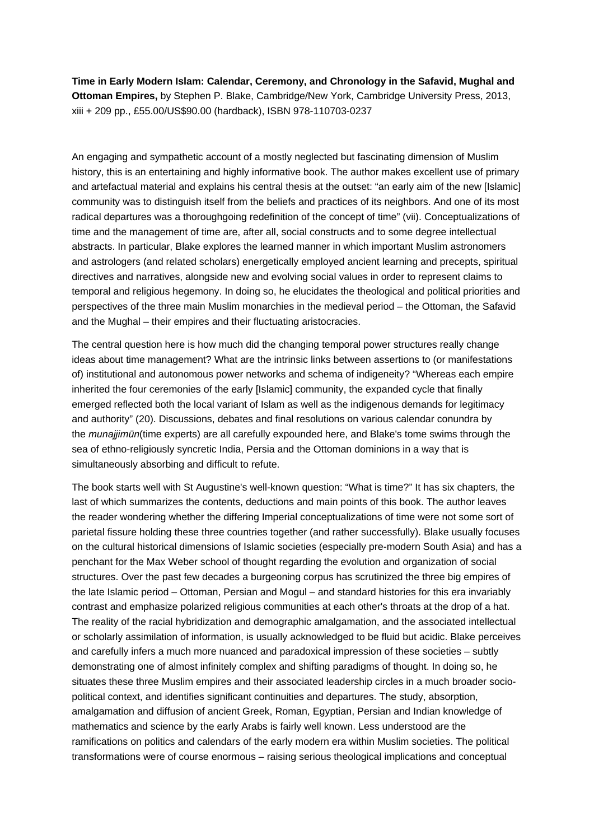**Time in Early Modern Islam: Calendar, Ceremony, and Chronology in the Safavid, Mughal and Ottoman Empires,** by Stephen P. Blake, Cambridge/New York, Cambridge University Press, 2013, xiii + 209 pp., £55.00/US\$90.00 (hardback), ISBN 978-110703-0237

An engaging and sympathetic account of a mostly neglected but fascinating dimension of Muslim history, this is an entertaining and highly informative book. The author makes excellent use of primary and artefactual material and explains his central thesis at the outset: "an early aim of the new [Islamic] community was to distinguish itself from the beliefs and practices of its neighbors. And one of its most radical departures was a thoroughgoing redefinition of the concept of time" (vii). Conceptualizations of time and the management of time are, after all, social constructs and to some degree intellectual abstracts. In particular, Blake explores the learned manner in which important Muslim astronomers and astrologers (and related scholars) energetically employed ancient learning and precepts, spiritual directives and narratives, alongside new and evolving social values in order to represent claims to temporal and religious hegemony. In doing so, he elucidates the theological and political priorities and perspectives of the three main Muslim monarchies in the medieval period – the Ottoman, the Safavid and the Mughal – their empires and their fluctuating aristocracies.

The central question here is how much did the changing temporal power structures really change ideas about time management? What are the intrinsic links between assertions to (or manifestations of) institutional and autonomous power networks and schema of indigeneity? "Whereas each empire inherited the four ceremonies of the early [Islamic] community, the expanded cycle that finally emerged reflected both the local variant of Islam as well as the indigenous demands for legitimacy and authority" (20). Discussions, debates and final resolutions on various calendar conundra by the *munajjimūn*(time experts) are all carefully expounded here, and Blake's tome swims through the sea of ethno-religiously syncretic India, Persia and the Ottoman dominions in a way that is simultaneously absorbing and difficult to refute.

The book starts well with St Augustine's well-known question: "What is time?" It has six chapters, the last of which summarizes the contents, deductions and main points of this book. The author leaves the reader wondering whether the differing Imperial conceptualizations of time were not some sort of parietal fissure holding these three countries together (and rather successfully). Blake usually focuses on the cultural historical dimensions of Islamic societies (especially pre-modern South Asia) and has a penchant for the Max Weber school of thought regarding the evolution and organization of social structures. Over the past few decades a burgeoning corpus has scrutinized the three big empires of the late Islamic period – Ottoman, Persian and Mogul – and standard histories for this era invariably contrast and emphasize polarized religious communities at each other's throats at the drop of a hat. The reality of the racial hybridization and demographic amalgamation, and the associated intellectual or scholarly assimilation of information, is usually acknowledged to be fluid but acidic. Blake perceives and carefully infers a much more nuanced and paradoxical impression of these societies – subtly demonstrating one of almost infinitely complex and shifting paradigms of thought. In doing so, he situates these three Muslim empires and their associated leadership circles in a much broader sociopolitical context, and identifies significant continuities and departures. The study, absorption, amalgamation and diffusion of ancient Greek, Roman, Egyptian, Persian and Indian knowledge of mathematics and science by the early Arabs is fairly well known. Less understood are the ramifications on politics and calendars of the early modern era within Muslim societies. The political transformations were of course enormous – raising serious theological implications and conceptual